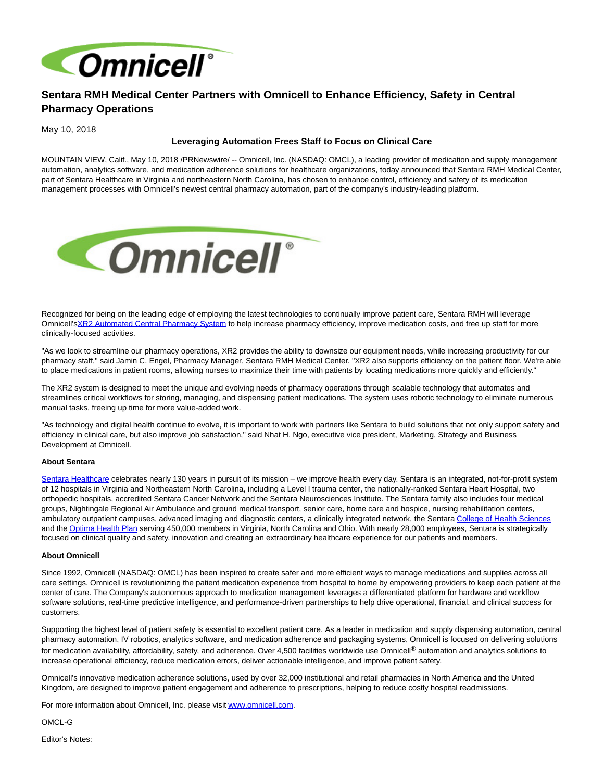

# **Sentara RMH Medical Center Partners with Omnicell to Enhance Efficiency, Safety in Central Pharmacy Operations**

May 10, 2018

## **Leveraging Automation Frees Staff to Focus on Clinical Care**

MOUNTAIN VIEW, Calif., May 10, 2018 /PRNewswire/ -- Omnicell, Inc. (NASDAQ: OMCL), a leading provider of medication and supply management automation, analytics software, and medication adherence solutions for healthcare organizations, today announced that Sentara RMH Medical Center, part of Sentara Healthcare in Virginia and northeastern North Carolina, has chosen to enhance control, efficiency and safety of its medication management processes with Omnicell's newest central pharmacy automation, part of the company's industry-leading platform.



Recognized for being on the leading edge of employing the latest technologies to continually improve patient care, Sentara RMH will leverage Omnicell'[sXR2 Automated Central Pharmacy System t](https://www.omnicell.com/xr2)o help increase pharmacy efficiency, improve medication costs, and free up staff for more clinically-focused activities.

"As we look to streamline our pharmacy operations, XR2 provides the ability to downsize our equipment needs, while increasing productivity for our pharmacy staff," said Jamin C. Engel, Pharmacy Manager, Sentara RMH Medical Center. "XR2 also supports efficiency on the patient floor. We're able to place medications in patient rooms, allowing nurses to maximize their time with patients by locating medications more quickly and efficiently."

The XR2 system is designed to meet the unique and evolving needs of pharmacy operations through scalable technology that automates and streamlines critical workflows for storing, managing, and dispensing patient medications. The system uses robotic technology to eliminate numerous manual tasks, freeing up time for more value-added work.

"As technology and digital health continue to evolve, it is important to work with partners like Sentara to build solutions that not only support safety and efficiency in clinical care, but also improve job satisfaction," said Nhat H. Ngo, executive vice president, Marketing, Strategy and Business Development at Omnicell.

#### **About Sentara**

[Sentara Healthcare c](https://urldefense.proofpoint.com/v2/url?u=http-3A__www.sentara.com_&d=DwMFAg&c=w8fEmIi-B5lsC0MnOiGTloUx5YmN70-3jVCmqqbXNxM&r=1WWgBP4cN6atdi65ZDxFMNlHGVNqb2jv4ndAP5KwG14&m=yJ6i7F-yYMAiD6s_Jp-wPj0FEX_MlLTRUUAC78ruH9M&s=EUcAD-m3RLTVocn2pIUceEX0UFWy9LZ484QaXCnaT4Q&e=)elebrates nearly 130 years in pursuit of its mission – we improve health every day. Sentara is an integrated, not-for-profit system of 12 hospitals in Virginia and Northeastern North Carolina, including a Level I trauma center, the nationally-ranked Sentara Heart Hospital, two orthopedic hospitals, accredited Sentara Cancer Network and the Sentara Neurosciences Institute. The Sentara family also includes four medical groups, Nightingale Regional Air Ambulance and ground medical transport, senior care, home care and hospice, nursing rehabilitation centers, ambulatory outpatient campuses, advanced imaging and diagnostic centers, a clinically integrated network, the Sentar[a College of Health Sciences](https://urldefense.proofpoint.com/v2/url?u=http-3A__www.sentara.edu_&d=DwMFAg&c=w8fEmIi-B5lsC0MnOiGTloUx5YmN70-3jVCmqqbXNxM&r=1WWgBP4cN6atdi65ZDxFMNlHGVNqb2jv4ndAP5KwG14&m=yJ6i7F-yYMAiD6s_Jp-wPj0FEX_MlLTRUUAC78ruH9M&s=JPu3gQg2HklbvjUZRCh9PR9Ams895POTCVIIUOhsWGE&e=) and th[e Optima Health Plan s](https://urldefense.proofpoint.com/v2/url?u=http-3A__www.optimahealth.com_&d=DwMFAg&c=w8fEmIi-B5lsC0MnOiGTloUx5YmN70-3jVCmqqbXNxM&r=1WWgBP4cN6atdi65ZDxFMNlHGVNqb2jv4ndAP5KwG14&m=yJ6i7F-yYMAiD6s_Jp-wPj0FEX_MlLTRUUAC78ruH9M&s=zMjPbdT3t0Wnki6QGV9I9-AmJcav374loI6GQ-eohwY&e=)erving 450,000 members in Virginia, North Carolina and Ohio. With nearly 28,000 employees, Sentara is strategically focused on clinical quality and safety, innovation and creating an extraordinary healthcare experience for our patients and members.

#### **About Omnicell**

Since 1992, Omnicell (NASDAQ: OMCL) has been inspired to create safer and more efficient ways to manage medications and supplies across all care settings. Omnicell is revolutionizing the patient medication experience from hospital to home by empowering providers to keep each patient at the center of care. The Company's autonomous approach to medication management leverages a differentiated platform for hardware and workflow software solutions, real-time predictive intelligence, and performance-driven partnerships to help drive operational, financial, and clinical success for customers.

Supporting the highest level of patient safety is essential to excellent patient care. As a leader in medication and supply dispensing automation, central pharmacy automation, IV robotics, analytics software, and medication adherence and packaging systems, Omnicell is focused on delivering solutions for medication availability, affordability, safety, and adherence. Over 4,500 facilities worldwide use Omnicell® automation and analytics solutions to increase operational efficiency, reduce medication errors, deliver actionable intelligence, and improve patient safety.

Omnicell's innovative medication adherence solutions, used by over 32,000 institutional and retail pharmacies in North America and the United Kingdom, are designed to improve patient engagement and adherence to prescriptions, helping to reduce costly hospital readmissions.

For more information about Omnicell, Inc. please visi[t www.omnicell.com.](http://www.omnicell.com/)

OMCL-G

Editor's Notes: